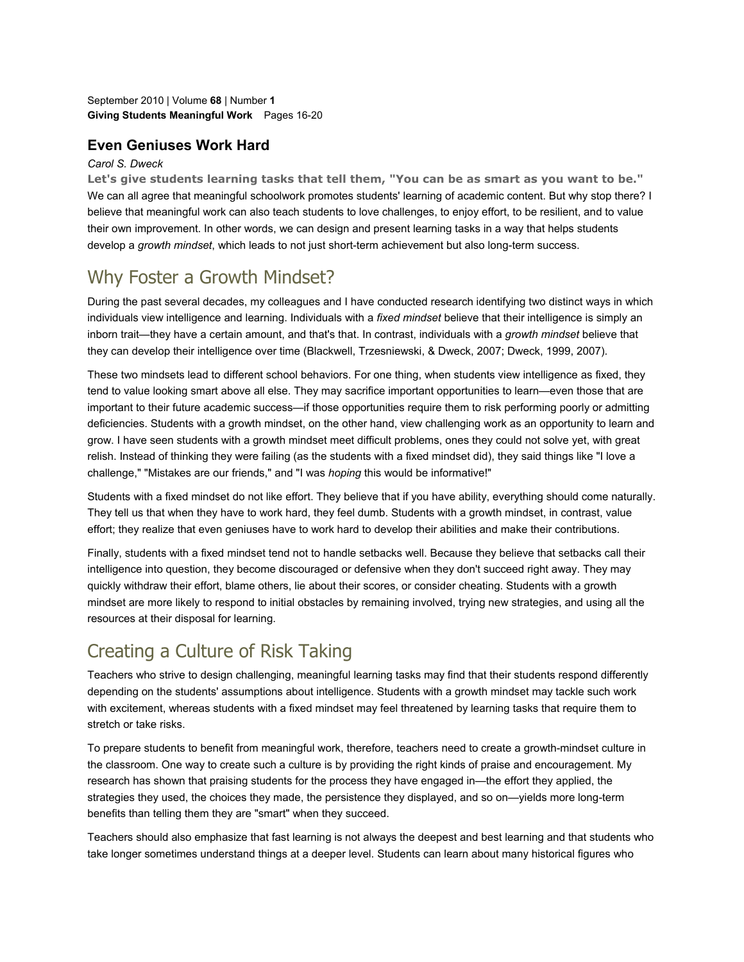September 2010 | Volume **68** | Number **1 Giving Students Meaningful Work** Pages 16-20

### **Even Geniuses Work Hard**

#### *Carol S. Dweck*

**Let's give students learning tasks that tell them, "You can be as smart as you want to be."**  We can all agree that meaningful schoolwork promotes students' learning of academic content. But why stop there? I believe that meaningful work can also teach students to love challenges, to enjoy effort, to be resilient, and to value their own improvement. In other words, we can design and present learning tasks in a way that helps students develop a *growth mindset*, which leads to not just short-term achievement but also long-term success.

## Why Foster a Growth Mindset?

During the past several decades, my colleagues and I have conducted research identifying two distinct ways in which individuals view intelligence and learning. Individuals with a *fixed mindset* believe that their intelligence is simply an inborn trait—they have a certain amount, and that's that. In contrast, individuals with a *growth mindset* believe that they can develop their intelligence over time (Blackwell, Trzesniewski, & Dweck, 2007; Dweck, 1999, 2007).

These two mindsets lead to different school behaviors. For one thing, when students view intelligence as fixed, they tend to value looking smart above all else. They may sacrifice important opportunities to learn—even those that are important to their future academic success—if those opportunities require them to risk performing poorly or admitting deficiencies. Students with a growth mindset, on the other hand, view challenging work as an opportunity to learn and grow. I have seen students with a growth mindset meet difficult problems, ones they could not solve yet, with great relish. Instead of thinking they were failing (as the students with a fixed mindset did), they said things like "I love a challenge," "Mistakes are our friends," and "I was *hoping* this would be informative!"

Students with a fixed mindset do not like effort. They believe that if you have ability, everything should come naturally. They tell us that when they have to work hard, they feel dumb. Students with a growth mindset, in contrast, value effort; they realize that even geniuses have to work hard to develop their abilities and make their contributions.

Finally, students with a fixed mindset tend not to handle setbacks well. Because they believe that setbacks call their intelligence into question, they become discouraged or defensive when they don't succeed right away. They may quickly withdraw their effort, blame others, lie about their scores, or consider cheating. Students with a growth mindset are more likely to respond to initial obstacles by remaining involved, trying new strategies, and using all the resources at their disposal for learning.

## Creating a Culture of Risk Taking

Teachers who strive to design challenging, meaningful learning tasks may find that their students respond differently depending on the students' assumptions about intelligence. Students with a growth mindset may tackle such work with excitement, whereas students with a fixed mindset may feel threatened by learning tasks that require them to stretch or take risks.

To prepare students to benefit from meaningful work, therefore, teachers need to create a growth-mindset culture in the classroom. One way to create such a culture is by providing the right kinds of praise and encouragement. My research has shown that praising students for the process they have engaged in—the effort they applied, the strategies they used, the choices they made, the persistence they displayed, and so on—yields more long-term benefits than telling them they are "smart" when they succeed.

Teachers should also emphasize that fast learning is not always the deepest and best learning and that students who take longer sometimes understand things at a deeper level. Students can learn about many historical figures who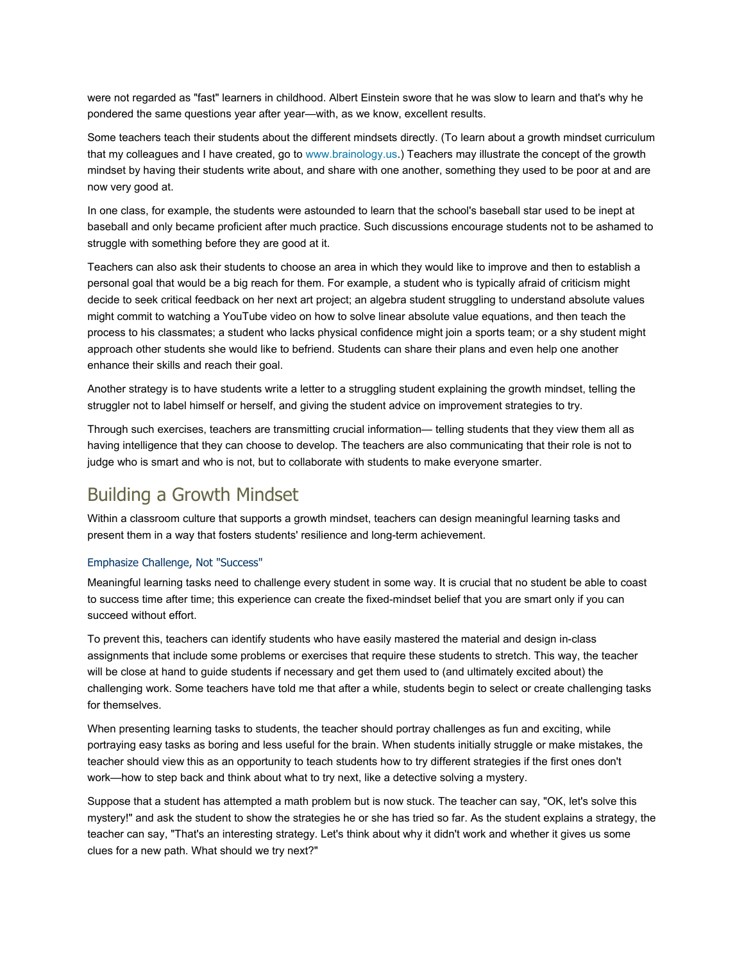were not regarded as "fast" learners in childhood. Albert Einstein swore that he was slow to learn and that's why he pondered the same questions year after year—with, as we know, excellent results.

Some teachers teach their students about the different mindsets directly. (To learn about a growth mindset curriculum that my colleagues and I have created, go to www.brainology.us.) Teachers may illustrate the concept of the growth mindset by having their students write about, and share with one another, something they used to be poor at and are now very good at.

In one class, for example, the students were astounded to learn that the school's baseball star used to be inept at baseball and only became proficient after much practice. Such discussions encourage students not to be ashamed to struggle with something before they are good at it.

Teachers can also ask their students to choose an area in which they would like to improve and then to establish a personal goal that would be a big reach for them. For example, a student who is typically afraid of criticism might decide to seek critical feedback on her next art project; an algebra student struggling to understand absolute values might commit to watching a YouTube video on how to solve linear absolute value equations, and then teach the process to his classmates; a student who lacks physical confidence might join a sports team; or a shy student might approach other students she would like to befriend. Students can share their plans and even help one another enhance their skills and reach their goal.

Another strategy is to have students write a letter to a struggling student explaining the growth mindset, telling the struggler not to label himself or herself, and giving the student advice on improvement strategies to try.

Through such exercises, teachers are transmitting crucial information— telling students that they view them all as having intelligence that they can choose to develop. The teachers are also communicating that their role is not to judge who is smart and who is not, but to collaborate with students to make everyone smarter.

## Building a Growth Mindset

Within a classroom culture that supports a growth mindset, teachers can design meaningful learning tasks and present them in a way that fosters students' resilience and long-term achievement.

#### Emphasize Challenge, Not "Success"

Meaningful learning tasks need to challenge every student in some way. It is crucial that no student be able to coast to success time after time; this experience can create the fixed-mindset belief that you are smart only if you can succeed without effort.

To prevent this, teachers can identify students who have easily mastered the material and design in-class assignments that include some problems or exercises that require these students to stretch. This way, the teacher will be close at hand to guide students if necessary and get them used to (and ultimately excited about) the challenging work. Some teachers have told me that after a while, students begin to select or create challenging tasks for themselves.

When presenting learning tasks to students, the teacher should portray challenges as fun and exciting, while portraying easy tasks as boring and less useful for the brain. When students initially struggle or make mistakes, the teacher should view this as an opportunity to teach students how to try different strategies if the first ones don't work—how to step back and think about what to try next, like a detective solving a mystery.

Suppose that a student has attempted a math problem but is now stuck. The teacher can say, "OK, let's solve this mystery!" and ask the student to show the strategies he or she has tried so far. As the student explains a strategy, the teacher can say, "That's an interesting strategy. Let's think about why it didn't work and whether it gives us some clues for a new path. What should we try next?"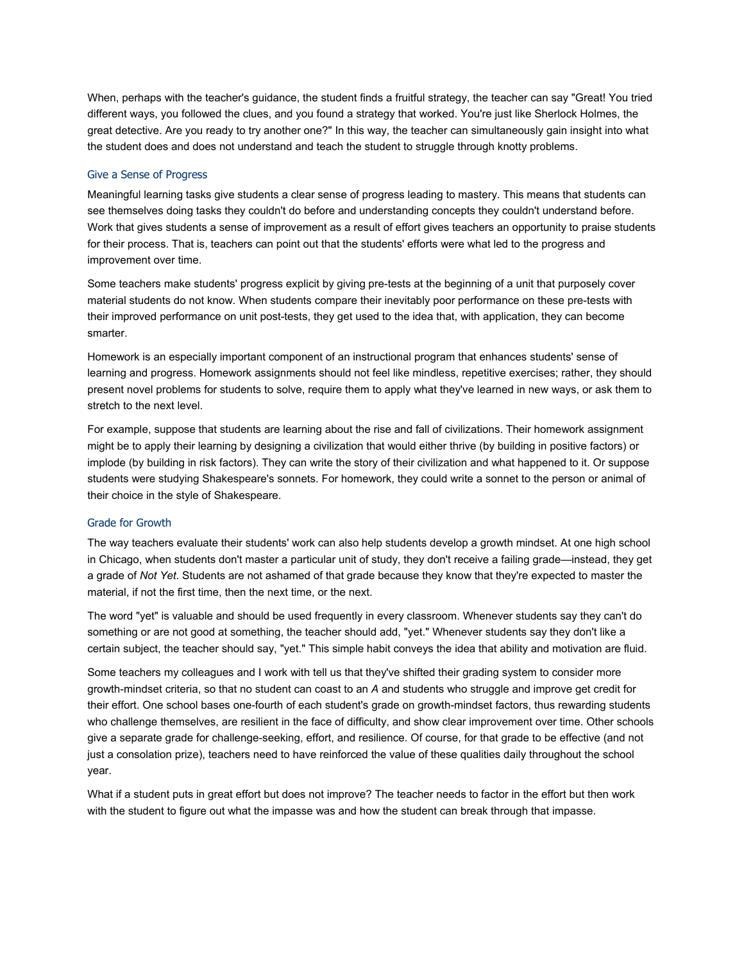When, perhaps with the teacher's guidance, the student finds a fruitful strategy, the teacher can say "Great! You tried different ways, you followed the clues, and you found a strategy that worked. You're just like Sherlock Holmes, the great detective. Are you ready to try another one?" In this way, the teacher can simultaneously gain insight into what the student does and does not understand and teach the student to struggle through knotty problems.

#### Give a Sense of Progress

Meaningful learning tasks give students a clear sense of progress leading to mastery. This means that students can see themselves doing tasks they couldn't do before and understanding concepts they couldn't understand before. Work that gives students a sense of improvement as a result of effort gives teachers an opportunity to praise students for their process. That is, teachers can point out that the students' efforts were what led to the progress and improvement over time.

Some teachers make students' progress explicit by giving pre-tests at the beginning of a unit that purposely cover material students do not know. When students compare their inevitably poor performance on these pre-tests with their improved performance on unit post-tests, they get used to the idea that, with application, they can become smarter.

Homework is an especially important component of an instructional program that enhances students' sense of learning and progress. Homework assignments should not feel like mindless, repetitive exercises; rather, they should present novel problems for students to solve, require them to apply what they've learned in new ways, or ask them to stretch to the next level.

For example, suppose that students are learning about the rise and fall of civilizations. Their homework assignment might be to apply their learning by designing a civilization that would either thrive (by building in positive factors) or implode (by building in risk factors). They can write the story of their civilization and what happened to it. Or suppose students were studying Shakespeare's sonnets. For homework, they could write a sonnet to the person or animal of their choice in the style of Shakespeare.

#### Grade for Growth

The way teachers evaluate their students' work can also help students develop a growth mindset. At one high school in Chicago, when students don't master a particular unit of study, they don't receive a failing grade—instead, they get a grade of *Not Yet*. Students are not ashamed of that grade because they know that they're expected to master the material, if not the first time, then the next time, or the next.

The word "yet" is valuable and should be used frequently in every classroom. Whenever students say they can't do something or are not good at something, the teacher should add, "yet." Whenever students say they don't like a certain subject, the teacher should say, "yet." This simple habit conveys the idea that ability and motivation are fluid.

Some teachers my colleagues and I work with tell us that they've shifted their grading system to consider more growth-mindset criteria, so that no student can coast to an *A* and students who struggle and improve get credit for their effort. One school bases one-fourth of each student's grade on growth-mindset factors, thus rewarding students who challenge themselves, are resilient in the face of difficulty, and show clear improvement over time. Other schools give a separate grade for challenge-seeking, effort, and resilience. Of course, for that grade to be effective (and not just a consolation prize), teachers need to have reinforced the value of these qualities daily throughout the school year.

What if a student puts in great effort but does not improve? The teacher needs to factor in the effort but then work with the student to figure out what the impasse was and how the student can break through that impasse.